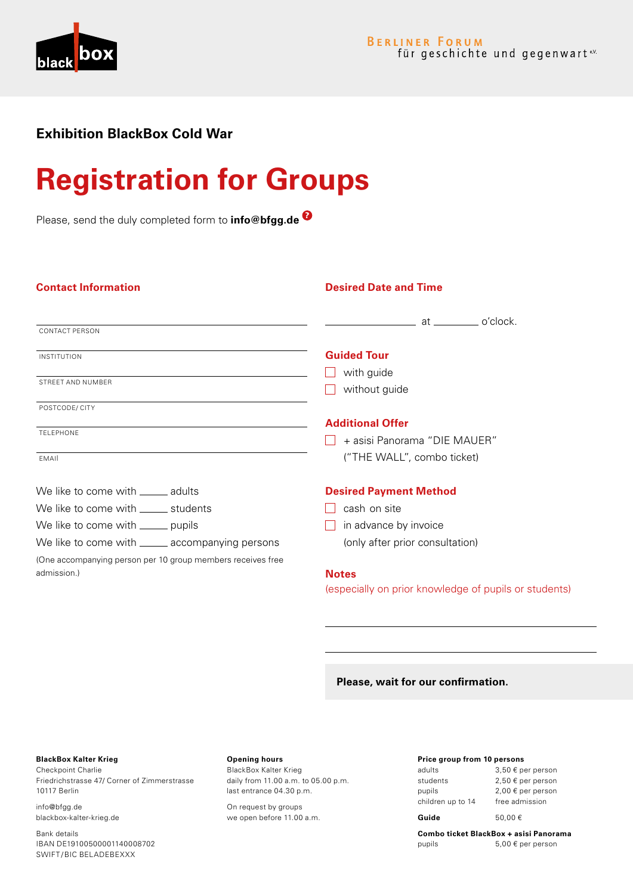

# **Exhibition BlackBox Cold War**

# **Registration for Groups**

Please, send the duly completed form to **info@bfgg.de** 

| <b>Contact Information</b>                                  | <b>Desired Date and Time</b>                                                                                               |
|-------------------------------------------------------------|----------------------------------------------------------------------------------------------------------------------------|
| <b>CONTACT PERSON</b>                                       | o'clock.<br>at the state of the state of the state of the state of the state of the state of the state of the state of the |
| <b>INSTITUTION</b>                                          | <b>Guided Tour</b>                                                                                                         |
|                                                             | with guide                                                                                                                 |
| STREET AND NUMBER                                           | without guide                                                                                                              |
| POSTCODE/ CITY                                              |                                                                                                                            |
|                                                             | <b>Additional Offer</b>                                                                                                    |
| <b>TELEPHONE</b>                                            | + asisi Panorama "DIE MAUER"                                                                                               |
| FMAIL                                                       | ("THE WALL", combo ticket)                                                                                                 |
| We like to come with _______ adults                         | <b>Desired Payment Method</b>                                                                                              |
| We like to come with ______ students                        | cash on site                                                                                                               |
| We like to come with ______ pupils                          | in advance by invoice                                                                                                      |
| We like to come with ______ accompanying persons            | (only after prior consultation)                                                                                            |
| (One accompanying person per 10 group members receives free |                                                                                                                            |
| admission.)                                                 | <b>Notes</b>                                                                                                               |
|                                                             | (especially on prior knowledge of pupils or students)                                                                      |

## **Please, wait for our confirmation.**

# **BlackBox Kalter Krieg**

Checkpoint Charlie Friedrichstrasse 47/ Corner of Zimmerstrasse 10117 Berlin

info@bfgg.de blackbox-kalter-krieg.de

Bank details IBAN DE19100500001140008702 SWIFT /BIC BELADEBEXXX

### **Opening hours**

BlackBox Kalter Krieg daily from 11.00 a.m. to 05.00 p.m. last entrance 04.30 p.m.

On request by groups we open before 11.00 a.m.

### **Price group from 10 persons**

| Guide             | 50.00€                |
|-------------------|-----------------------|
| children up to 14 | free admission        |
| pupils            | 2,00 € per person     |
| students          | 2,50 € per person     |
| adults            | $3,50 \in$ per person |

#### **Combo ticket BlackBox + asisi Panorama**  pupils 5,00 € per person